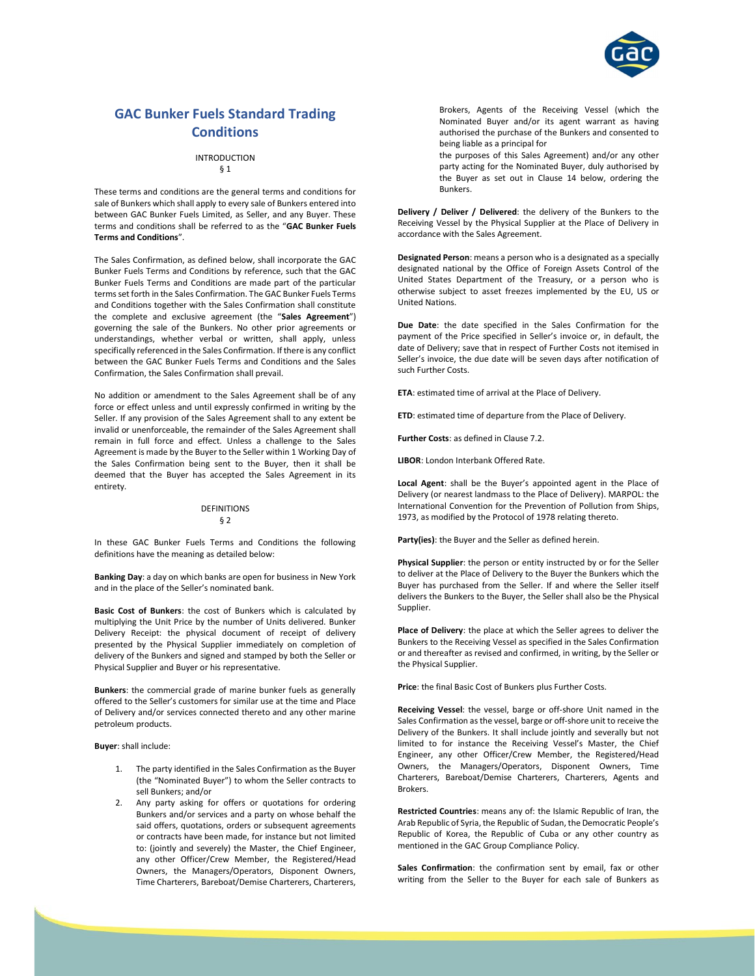

# GAC Bunker Fuels Standard Trading **Conditions**

#### INTRODUCTION

## § 1

These terms and conditions are the general terms and conditions for sale of Bunkers which shall apply to every sale of Bunkers entered into between GAC Bunker Fuels Limited, as Seller, and any Buyer. These terms and conditions shall be referred to as the "GAC Bunker Fuels Terms and Conditions".

The Sales Confirmation, as defined below, shall incorporate the GAC Bunker Fuels Terms and Conditions by reference, such that the GAC Bunker Fuels Terms and Conditions are made part of the particular terms set forth in the Sales Confirmation. The GAC Bunker Fuels Terms and Conditions together with the Sales Confirmation shall constitute the complete and exclusive agreement (the "Sales Agreement") governing the sale of the Bunkers. No other prior agreements or understandings, whether verbal or written, shall apply, unless specifically referenced in the Sales Confirmation. If there is any conflict between the GAC Bunker Fuels Terms and Conditions and the Sales Confirmation, the Sales Confirmation shall prevail.

No addition or amendment to the Sales Agreement shall be of any force or effect unless and until expressly confirmed in writing by the Seller. If any provision of the Sales Agreement shall to any extent be invalid or unenforceable, the remainder of the Sales Agreement shall remain in full force and effect. Unless a challenge to the Sales Agreement is made by the Buyer to the Seller within 1 Working Day of the Sales Confirmation being sent to the Buyer, then it shall be deemed that the Buyer has accepted the Sales Agreement in its entirety.

#### DEFINITIONS § 2

In these GAC Bunker Fuels Terms and Conditions the following definitions have the meaning as detailed below:

Banking Day: a day on which banks are open for business in New York and in the place of the Seller's nominated bank.

Basic Cost of Bunkers: the cost of Bunkers which is calculated by multiplying the Unit Price by the number of Units delivered. Bunker Delivery Receipt: the physical document of receipt of delivery presented by the Physical Supplier immediately on completion of delivery of the Bunkers and signed and stamped by both the Seller or Physical Supplier and Buyer or his representative.

Bunkers: the commercial grade of marine bunker fuels as generally offered to the Seller's customers for similar use at the time and Place of Delivery and/or services connected thereto and any other marine petroleum products.

Buyer: shall include:

- 1. The party identified in the Sales Confirmation as the Buyer (the "Nominated Buyer") to whom the Seller contracts to sell Bunkers; and/or
- 2. Any party asking for offers or quotations for ordering Bunkers and/or services and a party on whose behalf the said offers, quotations, orders or subsequent agreements or contracts have been made, for instance but not limited to: (jointly and severely) the Master, the Chief Engineer, any other Officer/Crew Member, the Registered/Head Owners, the Managers/Operators, Disponent Owners, Time Charterers, Bareboat/Demise Charterers, Charterers,

Brokers, Agents of the Receiving Vessel (which the Nominated Buyer and/or its agent warrant as having authorised the purchase of the Bunkers and consented to being liable as a principal for

the purposes of this Sales Agreement) and/or any other party acting for the Nominated Buyer, duly authorised by the Buyer as set out in Clause 14 below, ordering the Bunkers.

Delivery / Deliver / Delivered: the delivery of the Bunkers to the Receiving Vessel by the Physical Supplier at the Place of Delivery in accordance with the Sales Agreement.

Designated Person: means a person who is a designated as a specially designated national by the Office of Foreign Assets Control of the United States Department of the Treasury, or a person who is otherwise subject to asset freezes implemented by the EU, US or United Nations.

Due Date: the date specified in the Sales Confirmation for the payment of the Price specified in Seller's invoice or, in default, the date of Delivery; save that in respect of Further Costs not itemised in Seller's invoice, the due date will be seven days after notification of such Further Costs.

ETA: estimated time of arrival at the Place of Delivery.

ETD: estimated time of departure from the Place of Delivery.

Further Costs: as defined in Clause 7.2.

LIBOR: London Interbank Offered Rate.

Local Agent: shall be the Buyer's appointed agent in the Place of Delivery (or nearest landmass to the Place of Delivery). MARPOL: the International Convention for the Prevention of Pollution from Ships, 1973, as modified by the Protocol of 1978 relating thereto.

Party(ies): the Buyer and the Seller as defined herein.

Physical Supplier: the person or entity instructed by or for the Seller to deliver at the Place of Delivery to the Buyer the Bunkers which the Buyer has purchased from the Seller. If and where the Seller itself delivers the Bunkers to the Buyer, the Seller shall also be the Physical Supplier.

Place of Delivery: the place at which the Seller agrees to deliver the Bunkers to the Receiving Vessel as specified in the Sales Confirmation or and thereafter as revised and confirmed, in writing, by the Seller or the Physical Supplier.

Price: the final Basic Cost of Bunkers plus Further Costs.

Receiving Vessel: the vessel, barge or off-shore Unit named in the Sales Confirmation as the vessel, barge or off-shore unit to receive the Delivery of the Bunkers. It shall include jointly and severally but not limited to for instance the Receiving Vessel's Master, the Chief Engineer, any other Officer/Crew Member, the Registered/Head Owners, the Managers/Operators, Disponent Owners, Time Charterers, Bareboat/Demise Charterers, Charterers, Agents and Brokers.

Restricted Countries: means any of: the Islamic Republic of Iran, the Arab Republic of Syria, the Republic of Sudan, the Democratic People's Republic of Korea, the Republic of Cuba or any other country as mentioned in the GAC Group Compliance Policy.

Sales Confirmation: the confirmation sent by email, fax or other writing from the Seller to the Buyer for each sale of Bunkers as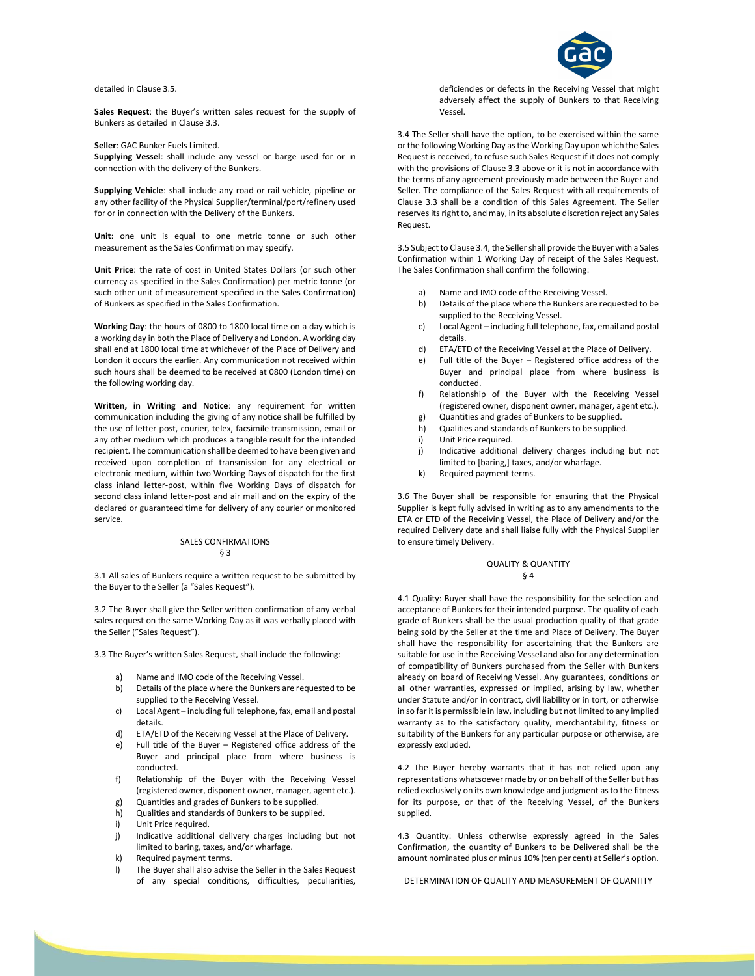detailed in Clause 3.5.

Sales Request: the Buyer's written sales request for the supply of Bunkers as detailed in Clause 3.3.

Seller: GAC Bunker Fuels Limited.

Supplying Vessel: shall include any vessel or barge used for or in connection with the delivery of the Bunkers.

Supplying Vehicle: shall include any road or rail vehicle, pipeline or any other facility of the Physical Supplier/terminal/port/refinery used for or in connection with the Delivery of the Bunkers.

Unit: one unit is equal to one metric tonne or such other measurement as the Sales Confirmation may specify.

Unit Price: the rate of cost in United States Dollars (or such other currency as specified in the Sales Confirmation) per metric tonne (or such other unit of measurement specified in the Sales Confirmation) of Bunkers as specified in the Sales Confirmation.

Working Day: the hours of 0800 to 1800 local time on a day which is a working day in both the Place of Delivery and London. A working day shall end at 1800 local time at whichever of the Place of Delivery and London it occurs the earlier. Any communication not received within such hours shall be deemed to be received at 0800 (London time) on the following working day.

Written, in Writing and Notice: any requirement for written communication including the giving of any notice shall be fulfilled by the use of letter-post, courier, telex, facsimile transmission, email or any other medium which produces a tangible result for the intended recipient. The communication shall be deemed to have been given and received upon completion of transmission for any electrical or electronic medium, within two Working Days of dispatch for the first class inland letter-post, within five Working Days of dispatch for second class inland letter-post and air mail and on the expiry of the declared or guaranteed time for delivery of any courier or monitored service.

## SALES CONFIRMATIONS § 3

3.1 All sales of Bunkers require a written request to be submitted by the Buyer to the Seller (a "Sales Request").

3.2 The Buyer shall give the Seller written confirmation of any verbal sales request on the same Working Day as it was verbally placed with the Seller ("Sales Request").

3.3 The Buyer's written Sales Request, shall include the following:

- a) Name and IMO code of the Receiving Vessel.
- b) Details of the place where the Bunkers are requested to be supplied to the Receiving Vessel.
- c) Local Agent including full telephone, fax, email and postal details.
- d) ETA/ETD of the Receiving Vessel at the Place of Delivery.
- e) Full title of the Buyer Registered office address of the Buyer and principal place from where business is conducted.
- f) Relationship of the Buyer with the Receiving Vessel (registered owner, disponent owner, manager, agent etc.).
- g) Quantities and grades of Bunkers to be supplied.
- h) Qualities and standards of Bunkers to be supplied.
- i) Unit Price required
- j) Indicative additional delivery charges including but not limited to baring, taxes, and/or wharfage.
- k) Required payment terms.
- l) The Buyer shall also advise the Seller in the Sales Request of any special conditions, difficulties, peculiarities,



deficiencies or defects in the Receiving Vessel that might adversely affect the supply of Bunkers to that Receiving Vessel.

3.4 The Seller shall have the option, to be exercised within the same or the following Working Day as the Working Day upon which the Sales Request is received, to refuse such Sales Request if it does not comply with the provisions of Clause 3.3 above or it is not in accordance with the terms of any agreement previously made between the Buyer and Seller. The compliance of the Sales Request with all requirements of Clause 3.3 shall be a condition of this Sales Agreement. The Seller reserves its right to, and may, in its absolute discretion reject any Sales Request.

3.5 Subject to Clause 3.4, the Seller shall provide the Buyer with a Sales Confirmation within 1 Working Day of receipt of the Sales Request. The Sales Confirmation shall confirm the following:

- a) Name and IMO code of the Receiving Vessel.
- b) Details of the place where the Bunkers are requested to be supplied to the Receiving Vessel.
- c) Local Agent including full telephone, fax, email and postal details.
- d) ETA/ETD of the Receiving Vessel at the Place of Delivery.
- e) Full title of the Buyer Registered office address of the Buyer and principal place from where business is conducted.
- f) Relationship of the Buyer with the Receiving Vessel (registered owner, disponent owner, manager, agent etc.).
- g) Quantities and grades of Bunkers to be supplied.
- h) Qualities and standards of Bunkers to be supplied.
- i) Unit Price required.
- j) Indicative additional delivery charges including but not limited to [baring,] taxes, and/or wharfage.
- k) Required payment terms.

3.6 The Buyer shall be responsible for ensuring that the Physical Supplier is kept fully advised in writing as to any amendments to the ETA or ETD of the Receiving Vessel, the Place of Delivery and/or the required Delivery date and shall liaise fully with the Physical Supplier to ensure timely Delivery.

#### QUALITY & QUANTITY § 4

4.1 Quality: Buyer shall have the responsibility for the selection and acceptance of Bunkers for their intended purpose. The quality of each grade of Bunkers shall be the usual production quality of that grade being sold by the Seller at the time and Place of Delivery. The Buyer shall have the responsibility for ascertaining that the Bunkers are suitable for use in the Receiving Vessel and also for any determination of compatibility of Bunkers purchased from the Seller with Bunkers already on board of Receiving Vessel. Any guarantees, conditions or all other warranties, expressed or implied, arising by law, whether under Statute and/or in contract, civil liability or in tort, or otherwise in so far it is permissible in law, including but not limited to any implied warranty as to the satisfactory quality, merchantability, fitness or suitability of the Bunkers for any particular purpose or otherwise, are expressly excluded.

4.2 The Buyer hereby warrants that it has not relied upon any representations whatsoever made by or on behalf of the Seller but has relied exclusively on its own knowledge and judgment as to the fitness for its purpose, or that of the Receiving Vessel, of the Bunkers supplied.

4.3 Quantity: Unless otherwise expressly agreed in the Sales Confirmation, the quantity of Bunkers to be Delivered shall be the amount nominated plus or minus 10% (ten per cent) at Seller's option.

DETERMINATION OF QUALITY AND MEASUREMENT OF QUANTITY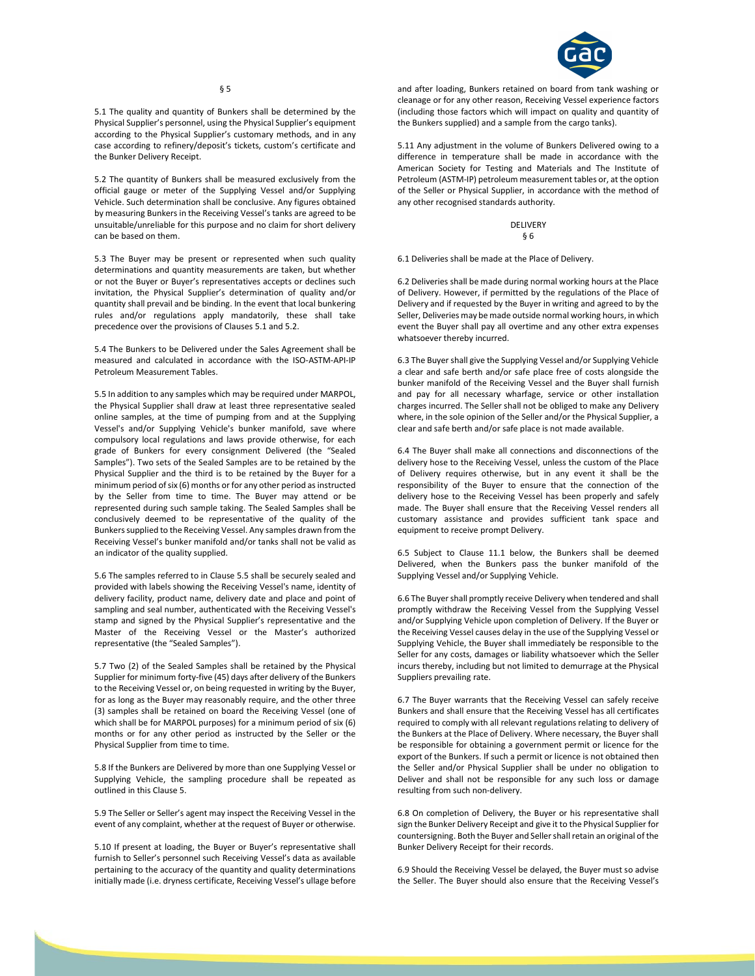

5.1 The quality and quantity of Bunkers shall be determined by the Physical Supplier's personnel, using the Physical Supplier's equipment according to the Physical Supplier's customary methods, and in any case according to refinery/deposit's tickets, custom's certificate and the Bunker Delivery Receipt.

5.2 The quantity of Bunkers shall be measured exclusively from the official gauge or meter of the Supplying Vessel and/or Supplying Vehicle. Such determination shall be conclusive. Any figures obtained by measuring Bunkers in the Receiving Vessel's tanks are agreed to be unsuitable/unreliable for this purpose and no claim for short delivery can be based on them.

5.3 The Buyer may be present or represented when such quality determinations and quantity measurements are taken, but whether or not the Buyer or Buyer's representatives accepts or declines such invitation, the Physical Supplier's determination of quality and/or quantity shall prevail and be binding. In the event that local bunkering rules and/or regulations apply mandatorily, these shall take precedence over the provisions of Clauses 5.1 and 5.2.

5.4 The Bunkers to be Delivered under the Sales Agreement shall be measured and calculated in accordance with the ISO-ASTM-API-IP Petroleum Measurement Tables.

5.5 In addition to any samples which may be required under MARPOL, the Physical Supplier shall draw at least three representative sealed online samples, at the time of pumping from and at the Supplying Vessel's and/or Supplying Vehicle's bunker manifold, save where compulsory local regulations and laws provide otherwise, for each grade of Bunkers for every consignment Delivered (the "Sealed Samples"). Two sets of the Sealed Samples are to be retained by the Physical Supplier and the third is to be retained by the Buyer for a minimum period of six (6) months or for any other period as instructed by the Seller from time to time. The Buyer may attend or be represented during such sample taking. The Sealed Samples shall be conclusively deemed to be representative of the quality of the Bunkers supplied to the Receiving Vessel. Any samples drawn from the Receiving Vessel's bunker manifold and/or tanks shall not be valid as an indicator of the quality supplied.

5.6 The samples referred to in Clause 5.5 shall be securely sealed and provided with labels showing the Receiving Vessel's name, identity of delivery facility, product name, delivery date and place and point of sampling and seal number, authenticated with the Receiving Vessel's stamp and signed by the Physical Supplier's representative and the Master of the Receiving Vessel or the Master's authorized representative (the "Sealed Samples").

5.7 Two (2) of the Sealed Samples shall be retained by the Physical Supplier for minimum forty-five (45) days after delivery of the Bunkers to the Receiving Vessel or, on being requested in writing by the Buyer, for as long as the Buyer may reasonably require, and the other three (3) samples shall be retained on board the Receiving Vessel (one of which shall be for MARPOL purposes) for a minimum period of six (6) months or for any other period as instructed by the Seller or the Physical Supplier from time to time.

5.8 If the Bunkers are Delivered by more than one Supplying Vessel or Supplying Vehicle, the sampling procedure shall be repeated as outlined in this Clause 5.

5.9 The Seller or Seller's agent may inspect the Receiving Vessel in the event of any complaint, whether at the request of Buyer or otherwise.

5.10 If present at loading, the Buyer or Buyer's representative shall furnish to Seller's personnel such Receiving Vessel's data as available pertaining to the accuracy of the quantity and quality determinations initially made (i.e. dryness certificate, Receiving Vessel's ullage before and after loading, Bunkers retained on board from tank washing or cleanage or for any other reason, Receiving Vessel experience factors (including those factors which will impact on quality and quantity of the Bunkers supplied) and a sample from the cargo tanks).

5.11 Any adjustment in the volume of Bunkers Delivered owing to a difference in temperature shall be made in accordance with the American Society for Testing and Materials and The Institute of Petroleum (ASTM-IP) petroleum measurement tables or, at the option of the Seller or Physical Supplier, in accordance with the method of any other recognised standards authority.

#### DELIVERY § 6

6.1 Deliveries shall be made at the Place of Delivery.

6.2 Deliveries shall be made during normal working hours at the Place of Delivery. However, if permitted by the regulations of the Place of Delivery and if requested by the Buyer in writing and agreed to by the Seller, Deliveries may be made outside normal working hours, in which event the Buyer shall pay all overtime and any other extra expenses whatsoever thereby incurred.

6.3 The Buyer shall give the Supplying Vessel and/or Supplying Vehicle a clear and safe berth and/or safe place free of costs alongside the bunker manifold of the Receiving Vessel and the Buyer shall furnish and pay for all necessary wharfage, service or other installation charges incurred. The Seller shall not be obliged to make any Delivery where, in the sole opinion of the Seller and/or the Physical Supplier, a clear and safe berth and/or safe place is not made available.

6.4 The Buyer shall make all connections and disconnections of the delivery hose to the Receiving Vessel, unless the custom of the Place of Delivery requires otherwise, but in any event it shall be the responsibility of the Buyer to ensure that the connection of the delivery hose to the Receiving Vessel has been properly and safely made. The Buyer shall ensure that the Receiving Vessel renders all customary assistance and provides sufficient tank space and equipment to receive prompt Delivery.

6.5 Subject to Clause 11.1 below, the Bunkers shall be deemed Delivered, when the Bunkers pass the bunker manifold of the Supplying Vessel and/or Supplying Vehicle.

6.6 The Buyer shall promptly receive Delivery when tendered and shall promptly withdraw the Receiving Vessel from the Supplying Vessel and/or Supplying Vehicle upon completion of Delivery. If the Buyer or the Receiving Vessel causes delay in the use of the Supplying Vessel or Supplying Vehicle, the Buyer shall immediately be responsible to the Seller for any costs, damages or liability whatsoever which the Seller incurs thereby, including but not limited to demurrage at the Physical Suppliers prevailing rate.

6.7 The Buyer warrants that the Receiving Vessel can safely receive Bunkers and shall ensure that the Receiving Vessel has all certificates required to comply with all relevant regulations relating to delivery of the Bunkers at the Place of Delivery. Where necessary, the Buyer shall be responsible for obtaining a government permit or licence for the export of the Bunkers. If such a permit or licence is not obtained then the Seller and/or Physical Supplier shall be under no obligation to Deliver and shall not be responsible for any such loss or damage resulting from such non-delivery.

6.8 On completion of Delivery, the Buyer or his representative shall sign the Bunker Delivery Receipt and give it to the Physical Supplier for countersigning. Both the Buyer and Seller shall retain an original of the Bunker Delivery Receipt for their records.

6.9 Should the Receiving Vessel be delayed, the Buyer must so advise the Seller. The Buyer should also ensure that the Receiving Vessel's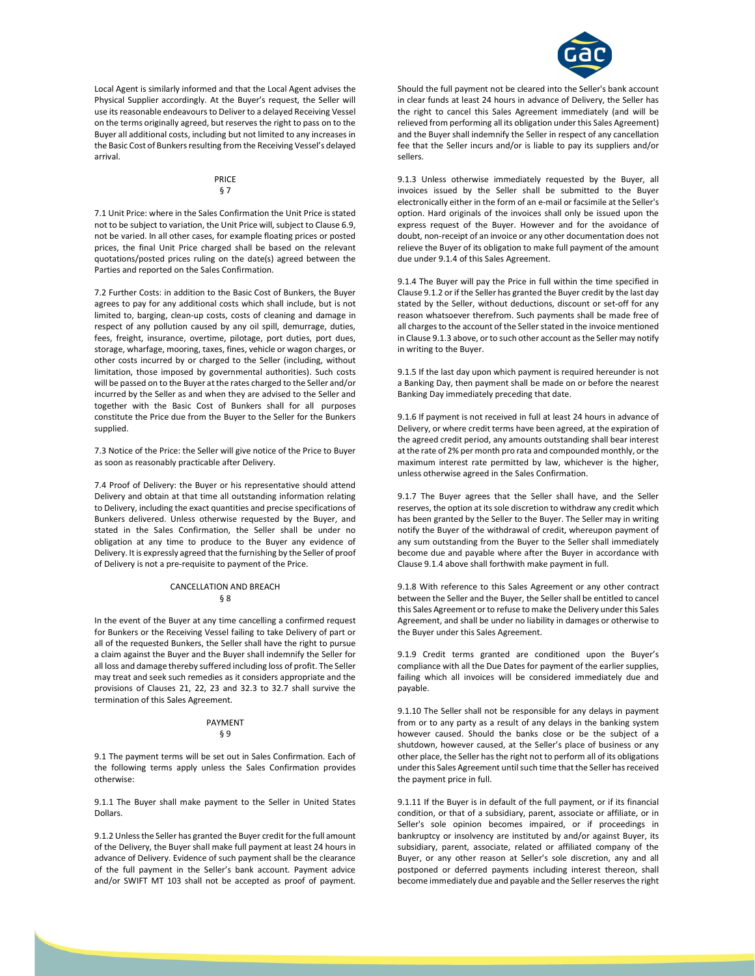

Local Agent is similarly informed and that the Local Agent advises the Physical Supplier accordingly. At the Buyer's request, the Seller will use its reasonable endeavours to Deliver to a delayed Receiving Vessel on the terms originally agreed, but reserves the right to pass on to the Buyer all additional costs, including but not limited to any increases in the Basic Cost of Bunkers resulting from the Receiving Vessel's delayed arrival.

#### PRICE § 7

7.1 Unit Price: where in the Sales Confirmation the Unit Price is stated not to be subject to variation, the Unit Price will, subject to Clause 6.9, not be varied. In all other cases, for example floating prices or posted prices, the final Unit Price charged shall be based on the relevant quotations/posted prices ruling on the date(s) agreed between the Parties and reported on the Sales Confirmation.

7.2 Further Costs: in addition to the Basic Cost of Bunkers, the Buyer agrees to pay for any additional costs which shall include, but is not limited to, barging, clean-up costs, costs of cleaning and damage in respect of any pollution caused by any oil spill, demurrage, duties, fees, freight, insurance, overtime, pilotage, port duties, port dues, storage, wharfage, mooring, taxes, fines, vehicle or wagon charges, or other costs incurred by or charged to the Seller (including, without limitation, those imposed by governmental authorities). Such costs will be passed on to the Buyer at the rates charged to the Seller and/or incurred by the Seller as and when they are advised to the Seller and together with the Basic Cost of Bunkers shall for all purposes constitute the Price due from the Buyer to the Seller for the Bunkers supplied.

7.3 Notice of the Price: the Seller will give notice of the Price to Buyer as soon as reasonably practicable after Delivery.

7.4 Proof of Delivery: the Buyer or his representative should attend Delivery and obtain at that time all outstanding information relating to Delivery, including the exact quantities and precise specifications of Bunkers delivered. Unless otherwise requested by the Buyer, and stated in the Sales Confirmation, the Seller shall be under no obligation at any time to produce to the Buyer any evidence of Delivery. It is expressly agreed that the furnishing by the Seller of proof of Delivery is not a pre-requisite to payment of the Price.

#### CANCELLATION AND BREACH § 8

In the event of the Buyer at any time cancelling a confirmed request for Bunkers or the Receiving Vessel failing to take Delivery of part or all of the requested Bunkers, the Seller shall have the right to pursue a claim against the Buyer and the Buyer shall indemnify the Seller for all loss and damage thereby suffered including loss of profit. The Seller may treat and seek such remedies as it considers appropriate and the provisions of Clauses 21, 22, 23 and 32.3 to 32.7 shall survive the termination of this Sales Agreement.

#### PAYMENT § 9

9.1 The payment terms will be set out in Sales Confirmation. Each of the following terms apply unless the Sales Confirmation provides otherwise:

9.1.1 The Buyer shall make payment to the Seller in United States Dollars.

9.1.2 Unless the Seller has granted the Buyer credit for the full amount of the Delivery, the Buyer shall make full payment at least 24 hours in advance of Delivery. Evidence of such payment shall be the clearance of the full payment in the Seller's bank account. Payment advice and/or SWIFT MT 103 shall not be accepted as proof of payment.

Should the full payment not be cleared into the Seller's bank account in clear funds at least 24 hours in advance of Delivery, the Seller has the right to cancel this Sales Agreement immediately (and will be relieved from performing all its obligation under this Sales Agreement) and the Buyer shall indemnify the Seller in respect of any cancellation fee that the Seller incurs and/or is liable to pay its suppliers and/or sellers.

9.1.3 Unless otherwise immediately requested by the Buyer, all invoices issued by the Seller shall be submitted to the Buyer electronically either in the form of an e-mail or facsimile at the Seller's option. Hard originals of the invoices shall only be issued upon the express request of the Buyer. However and for the avoidance of doubt, non-receipt of an invoice or any other documentation does not relieve the Buyer of its obligation to make full payment of the amount due under 9.1.4 of this Sales Agreement.

9.1.4 The Buyer will pay the Price in full within the time specified in Clause 9.1.2 or if the Seller has granted the Buyer credit by the last day stated by the Seller, without deductions, discount or set-off for any reason whatsoever therefrom. Such payments shall be made free of all charges to the account of the Seller stated in the invoice mentioned in Clause 9.1.3 above, or to such other account as the Seller may notify in writing to the Buyer.

9.1.5 If the last day upon which payment is required hereunder is not a Banking Day, then payment shall be made on or before the nearest Banking Day immediately preceding that date.

9.1.6 If payment is not received in full at least 24 hours in advance of Delivery, or where credit terms have been agreed, at the expiration of the agreed credit period, any amounts outstanding shall bear interest at the rate of 2% per month pro rata and compounded monthly, or the maximum interest rate permitted by law, whichever is the higher, unless otherwise agreed in the Sales Confirmation.

9.1.7 The Buyer agrees that the Seller shall have, and the Seller reserves, the option at its sole discretion to withdraw any credit which has been granted by the Seller to the Buyer. The Seller may in writing notify the Buyer of the withdrawal of credit, whereupon payment of any sum outstanding from the Buyer to the Seller shall immediately become due and payable where after the Buyer in accordance with Clause 9.1.4 above shall forthwith make payment in full.

9.1.8 With reference to this Sales Agreement or any other contract between the Seller and the Buyer, the Seller shall be entitled to cancel this Sales Agreement or to refuse to make the Delivery under this Sales Agreement, and shall be under no liability in damages or otherwise to the Buyer under this Sales Agreement.

9.1.9 Credit terms granted are conditioned upon the Buyer's compliance with all the Due Dates for payment of the earlier supplies, failing which all invoices will be considered immediately due and payable.

9.1.10 The Seller shall not be responsible for any delays in payment from or to any party as a result of any delays in the banking system however caused. Should the banks close or be the subject of a shutdown, however caused, at the Seller's place of business or any other place, the Seller has the right not to perform all of its obligations under this Sales Agreement until such time that the Seller has received the payment price in full.

9.1.11 If the Buyer is in default of the full payment, or if its financial condition, or that of a subsidiary, parent, associate or affiliate, or in Seller's sole opinion becomes impaired, or if proceedings in bankruptcy or insolvency are instituted by and/or against Buyer, its subsidiary, parent, associate, related or affiliated company of the Buyer, or any other reason at Seller's sole discretion, any and all postponed or deferred payments including interest thereon, shall become immediately due and payable and the Seller reserves the right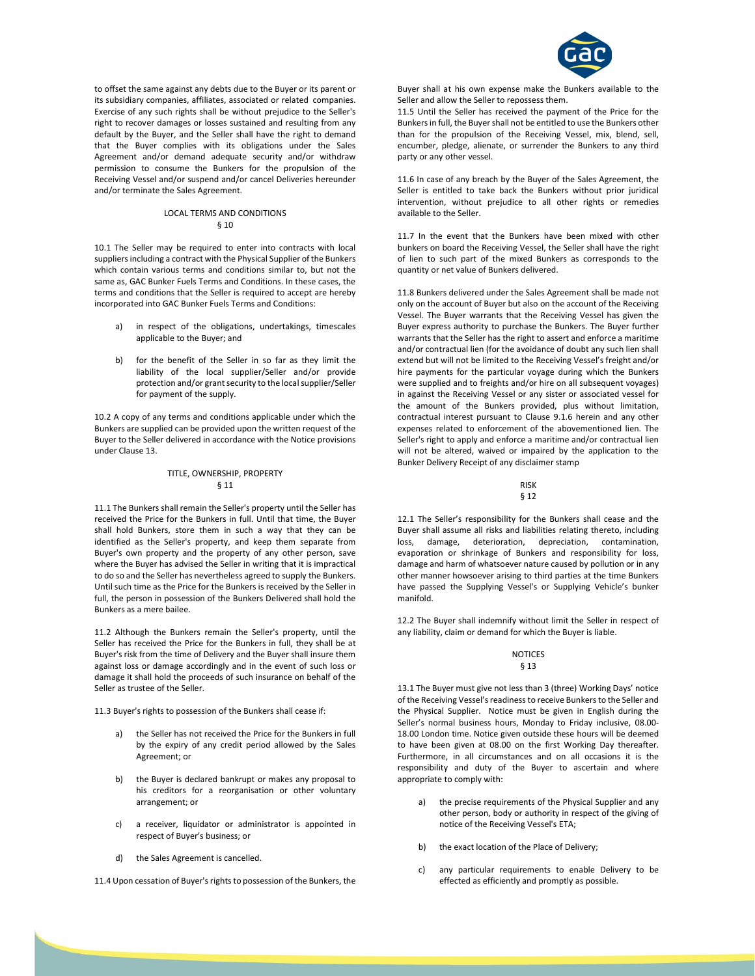

to offset the same against any debts due to the Buyer or its parent or its subsidiary companies, affiliates, associated or related companies. Exercise of any such rights shall be without prejudice to the Seller's right to recover damages or losses sustained and resulting from any default by the Buyer, and the Seller shall have the right to demand that the Buyer complies with its obligations under the Sales Agreement and/or demand adequate security and/or withdraw permission to consume the Bunkers for the propulsion of the Receiving Vessel and/or suspend and/or cancel Deliveries hereunder and/or terminate the Sales Agreement.

#### LOCAL TERMS AND CONDITIONS § 10

10.1 The Seller may be required to enter into contracts with local suppliers including a contract with the Physical Supplier of the Bunkers which contain various terms and conditions similar to, but not the same as, GAC Bunker Fuels Terms and Conditions. In these cases, the terms and conditions that the Seller is required to accept are hereby incorporated into GAC Bunker Fuels Terms and Conditions:

- a) in respect of the obligations, undertakings, timescales applicable to the Buyer; and
- b) for the benefit of the Seller in so far as they limit the liability of the local supplier/Seller and/or provide protection and/or grant security to the local supplier/Seller for payment of the supply.

10.2 A copy of any terms and conditions applicable under which the Bunkers are supplied can be provided upon the written request of the Buyer to the Seller delivered in accordance with the Notice provisions under Clause 13.

## TITLE, OWNERSHIP, PROPERTY § 11

11.1 The Bunkers shall remain the Seller's property until the Seller has received the Price for the Bunkers in full. Until that time, the Buyer shall hold Bunkers, store them in such a way that they can be identified as the Seller's property, and keep them separate from Buyer's own property and the property of any other person, save where the Buyer has advised the Seller in writing that it is impractical to do so and the Seller has nevertheless agreed to supply the Bunkers. Until such time as the Price for the Bunkers is received by the Seller in full, the person in possession of the Bunkers Delivered shall hold the Bunkers as a mere bailee.

11.2 Although the Bunkers remain the Seller's property, until the Seller has received the Price for the Bunkers in full, they shall be at Buyer's risk from the time of Delivery and the Buyer shall insure them against loss or damage accordingly and in the event of such loss or damage it shall hold the proceeds of such insurance on behalf of the Seller as trustee of the Seller.

11.3 Buyer's rights to possession of the Bunkers shall cease if:

- a) the Seller has not received the Price for the Bunkers in full by the expiry of any credit period allowed by the Sales Agreement; or
- b) the Buyer is declared bankrupt or makes any proposal to his creditors for a reorganisation or other voluntary arrangement; or
- c) a receiver, liquidator or administrator is appointed in respect of Buyer's business; or
- d) the Sales Agreement is cancelled.

11.4 Upon cessation of Buyer's rights to possession of the Bunkers, the

Buyer shall at his own expense make the Bunkers available to the Seller and allow the Seller to repossess them.

11.5 Until the Seller has received the payment of the Price for the Bunkers in full, the Buyer shall not be entitled to use the Bunkers other than for the propulsion of the Receiving Vessel, mix, blend, sell, encumber, pledge, alienate, or surrender the Bunkers to any third party or any other vessel.

11.6 In case of any breach by the Buyer of the Sales Agreement, the Seller is entitled to take back the Bunkers without prior juridical intervention, without prejudice to all other rights or remedies available to the Seller.

11.7 In the event that the Bunkers have been mixed with other bunkers on board the Receiving Vessel, the Seller shall have the right of lien to such part of the mixed Bunkers as corresponds to the quantity or net value of Bunkers delivered.

11.8 Bunkers delivered under the Sales Agreement shall be made not only on the account of Buyer but also on the account of the Receiving Vessel. The Buyer warrants that the Receiving Vessel has given the Buyer express authority to purchase the Bunkers. The Buyer further warrants that the Seller has the right to assert and enforce a maritime and/or contractual lien (for the avoidance of doubt any such lien shall extend but will not be limited to the Receiving Vessel's freight and/or hire payments for the particular voyage during which the Bunkers were supplied and to freights and/or hire on all subsequent voyages) in against the Receiving Vessel or any sister or associated vessel for the amount of the Bunkers provided, plus without limitation, contractual interest pursuant to Clause 9.1.6 herein and any other expenses related to enforcement of the abovementioned lien. The Seller's right to apply and enforce a maritime and/or contractual lien will not be altered, waived or impaired by the application to the Bunker Delivery Receipt of any disclaimer stamp

#### RISK § 12

12.1 The Seller's responsibility for the Bunkers shall cease and the Buyer shall assume all risks and liabilities relating thereto, including loss, damage, deterioration, depreciation, contamination, evaporation or shrinkage of Bunkers and responsibility for loss, damage and harm of whatsoever nature caused by pollution or in any other manner howsoever arising to third parties at the time Bunkers have passed the Supplying Vessel's or Supplying Vehicle's bunker manifold.

12.2 The Buyer shall indemnify without limit the Seller in respect of any liability, claim or demand for which the Buyer is liable.

#### NOTICES § 13

13.1 The Buyer must give not less than 3 (three) Working Days' notice of the Receiving Vessel's readiness to receive Bunkers to the Seller and the Physical Supplier. Notice must be given in English during the Seller's normal business hours, Monday to Friday inclusive, 08.00- 18.00 London time. Notice given outside these hours will be deemed to have been given at 08.00 on the first Working Day thereafter. Furthermore, in all circumstances and on all occasions it is the responsibility and duty of the Buyer to ascertain and where appropriate to comply with:

- a) the precise requirements of the Physical Supplier and any other person, body or authority in respect of the giving of notice of the Receiving Vessel's ETA;
- b) the exact location of the Place of Delivery;
- c) any particular requirements to enable Delivery to be effected as efficiently and promptly as possible.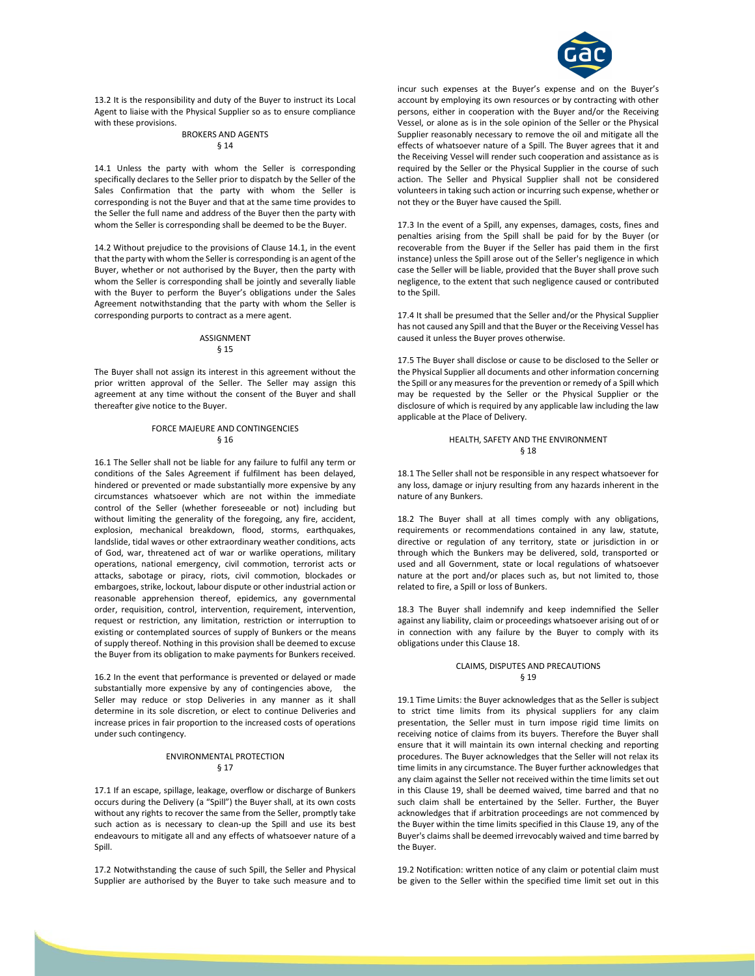

13.2 It is the responsibility and duty of the Buyer to instruct its Local Agent to liaise with the Physical Supplier so as to ensure compliance with these provisions.

#### BROKERS AND AGENTS § 14

14.1 Unless the party with whom the Seller is corresponding specifically declares to the Seller prior to dispatch by the Seller of the Sales Confirmation that the party with whom the Seller is corresponding is not the Buyer and that at the same time provides to the Seller the full name and address of the Buyer then the party with whom the Seller is corresponding shall be deemed to be the Buyer.

14.2 Without prejudice to the provisions of Clause 14.1, in the event that the party with whom the Seller is corresponding is an agent of the Buyer, whether or not authorised by the Buyer, then the party with whom the Seller is corresponding shall be jointly and severally liable with the Buyer to perform the Buyer's obligations under the Sales Agreement notwithstanding that the party with whom the Seller is corresponding purports to contract as a mere agent.

#### ASSIGNMENT § 15

The Buyer shall not assign its interest in this agreement without the prior written approval of the Seller. The Seller may assign this agreement at any time without the consent of the Buyer and shall thereafter give notice to the Buyer.

## FORCE MAJEURE AND CONTINGENCIES § 16

16.1 The Seller shall not be liable for any failure to fulfil any term or conditions of the Sales Agreement if fulfilment has been delayed, hindered or prevented or made substantially more expensive by any circumstances whatsoever which are not within the immediate control of the Seller (whether foreseeable or not) including but without limiting the generality of the foregoing, any fire, accident, explosion, mechanical breakdown, flood, storms, earthquakes, landslide, tidal waves or other extraordinary weather conditions, acts of God, war, threatened act of war or warlike operations, military operations, national emergency, civil commotion, terrorist acts or attacks, sabotage or piracy, riots, civil commotion, blockades or embargoes, strike, lockout, labour dispute or other industrial action or reasonable apprehension thereof, epidemics, any governmental order, requisition, control, intervention, requirement, intervention, request or restriction, any limitation, restriction or interruption to existing or contemplated sources of supply of Bunkers or the means of supply thereof. Nothing in this provision shall be deemed to excuse the Buyer from its obligation to make payments for Bunkers received.

16.2 In the event that performance is prevented or delayed or made substantially more expensive by any of contingencies above, the Seller may reduce or stop Deliveries in any manner as it shall determine in its sole discretion, or elect to continue Deliveries and increase prices in fair proportion to the increased costs of operations under such contingency.

## ENVIRONMENTAL PROTECTION § 17

17.1 If an escape, spillage, leakage, overflow or discharge of Bunkers occurs during the Delivery (a "Spill") the Buyer shall, at its own costs without any rights to recover the same from the Seller, promptly take such action as is necessary to clean-up the Spill and use its best endeavours to mitigate all and any effects of whatsoever nature of a Spill.

17.2 Notwithstanding the cause of such Spill, the Seller and Physical Supplier are authorised by the Buyer to take such measure and to incur such expenses at the Buyer's expense and on the Buyer's account by employing its own resources or by contracting with other persons, either in cooperation with the Buyer and/or the Receiving Vessel, or alone as is in the sole opinion of the Seller or the Physical Supplier reasonably necessary to remove the oil and mitigate all the effects of whatsoever nature of a Spill. The Buyer agrees that it and the Receiving Vessel will render such cooperation and assistance as is required by the Seller or the Physical Supplier in the course of such action. The Seller and Physical Supplier shall not be considered volunteers in taking such action or incurring such expense, whether or not they or the Buyer have caused the Spill.

17.3 In the event of a Spill, any expenses, damages, costs, fines and penalties arising from the Spill shall be paid for by the Buyer (or recoverable from the Buyer if the Seller has paid them in the first instance) unless the Spill arose out of the Seller's negligence in which case the Seller will be liable, provided that the Buyer shall prove such negligence, to the extent that such negligence caused or contributed to the Spill.

17.4 It shall be presumed that the Seller and/or the Physical Supplier has not caused any Spill and that the Buyer or the Receiving Vessel has caused it unless the Buyer proves otherwise.

17.5 The Buyer shall disclose or cause to be disclosed to the Seller or the Physical Supplier all documents and other information concerning the Spill or any measures for the prevention or remedy of a Spill which may be requested by the Seller or the Physical Supplier or the disclosure of which is required by any applicable law including the law applicable at the Place of Delivery.

#### HEALTH, SAFETY AND THE ENVIRONMENT § 18

18.1 The Seller shall not be responsible in any respect whatsoever for any loss, damage or injury resulting from any hazards inherent in the nature of any Bunkers.

18.2 The Buyer shall at all times comply with any obligations, requirements or recommendations contained in any law, statute, directive or regulation of any territory, state or jurisdiction in or through which the Bunkers may be delivered, sold, transported or used and all Government, state or local regulations of whatsoever nature at the port and/or places such as, but not limited to, those related to fire, a Spill or loss of Bunkers.

18.3 The Buyer shall indemnify and keep indemnified the Seller against any liability, claim or proceedings whatsoever arising out of or in connection with any failure by the Buyer to comply with its obligations under this Clause 18.

#### CLAIMS, DISPUTES AND PRECAUTIONS § 19

19.1 Time Limits: the Buyer acknowledges that as the Seller is subject to strict time limits from its physical suppliers for any claim presentation, the Seller must in turn impose rigid time limits on receiving notice of claims from its buyers. Therefore the Buyer shall ensure that it will maintain its own internal checking and reporting procedures. The Buyer acknowledges that the Seller will not relax its time limits in any circumstance. The Buyer further acknowledges that any claim against the Seller not received within the time limits set out in this Clause 19, shall be deemed waived, time barred and that no such claim shall be entertained by the Seller. Further, the Buyer acknowledges that if arbitration proceedings are not commenced by the Buyer within the time limits specified in this Clause 19, any of the Buyer's claims shall be deemed irrevocably waived and time barred by the Buyer.

19.2 Notification: written notice of any claim or potential claim must be given to the Seller within the specified time limit set out in this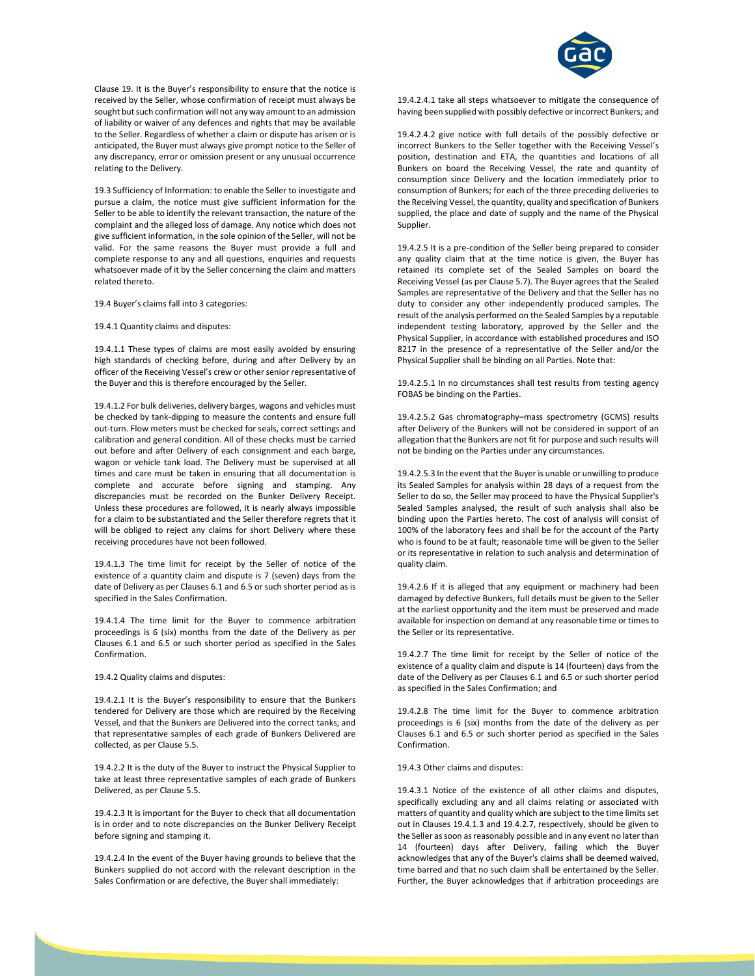

Clause 19. It is the Buyer's responsibility to ensure that the notice is received by the Seller, whose confirmation of receipt must always be sought but such confirmation will not any way amount to an admission of liability or waiver of any defences and rights that may be available to the Seller. Regardless of whether a claim or dispute has arisen or is anticipated, the Buyer must always give prompt notice to the Seller of any discrepancy, error or omission present or any unusual occurrence relating to the Delivery.

19.3 Sufficiency of Information: to enable the Seller to investigate and pursue a claim, the notice must give sufficient information for the Seller to be able to identify the relevant transaction, the nature of the complaint and the alleged loss of damage. Any notice which does not give sufficient information, in the sole opinion of the Seller, will not be valid. For the same reasons the Buyer must provide a full and complete response to any and all questions, enquiries and requests whatsoever made of it by the Seller concerning the claim and matters related thereto.

19.4 Buyer's claims fall into 3 categories:

#### 19.4.1 Quantity claims and disputes:

19.4.1.1 These types of claims are most easily avoided by ensuring high standards of checking before, during and after Delivery by an officer of the Receiving Vessel's crew or other senior representative of the Buyer and this is therefore encouraged by the Seller.

19.4.1.2 For bulk deliveries, delivery barges, wagons and vehicles must be checked by tank-dipping to measure the contents and ensure full out-turn. Flow meters must be checked for seals, correct settings and calibration and general condition. All of these checks must be carried out before and after Delivery of each consignment and each barge, wagon or vehicle tank load. The Delivery must be supervised at all times and care must be taken in ensuring that all documentation is complete and accurate before signing and stamping. Any discrepancies must be recorded on the Bunker Delivery Receipt. Unless these procedures are followed, it is nearly always impossible for a claim to be substantiated and the Seller therefore regrets that it will be obliged to reject any claims for short Delivery where these receiving procedures have not been followed.

19.4.1.3 The time limit for receipt by the Seller of notice of the existence of a quantity claim and dispute is 7 (seven) days from the date of Delivery as per Clauses 6.1 and 6.5 or such shorter period as is specified in the Sales Confirmation.

19.4.1.4 The time limit for the Buyer to commence arbitration proceedings is 6 (six) months from the date of the Delivery as per Clauses 6.1 and 6.5 or such shorter period as specified in the Sales Confirmation.

19.4.2 Quality claims and disputes:

19.4.2.1 It is the Buyer's responsibility to ensure that the Bunkers tendered for Delivery are those which are required by the Receiving Vessel, and that the Bunkers are Delivered into the correct tanks; and that representative samples of each grade of Bunkers Delivered are collected, as per Clause 5.5.

19.4.2.2 It is the duty of the Buyer to instruct the Physical Supplier to take at least three representative samples of each grade of Bunkers Delivered, as per Clause 5.5.

19.4.2.3 It is important for the Buyer to check that all documentation is in order and to note discrepancies on the Bunker Delivery Receipt before signing and stamping it.

19.4.2.4 In the event of the Buyer having grounds to believe that the Bunkers supplied do not accord with the relevant description in the Sales Confirmation or are defective, the Buyer shall immediately:

19.4.2.4.1 take all steps whatsoever to mitigate the consequence of having been supplied with possibly defective or incorrect Bunkers; and

19.4.2.4.2 give notice with full details of the possibly defective or incorrect Bunkers to the Seller together with the Receiving Vessel's position, destination and ETA, the quantities and locations of all Bunkers on board the Receiving Vessel, the rate and quantity of consumption since Delivery and the location immediately prior to consumption of Bunkers; for each of the three preceding deliveries to the Receiving Vessel, the quantity, quality and specification of Bunkers supplied, the place and date of supply and the name of the Physical Supplier.

19.4.2.5 It is a pre-condition of the Seller being prepared to consider any quality claim that at the time notice is given, the Buyer has retained its complete set of the Sealed Samples on board the Receiving Vessel (as per Clause 5.7). The Buyer agrees that the Sealed Samples are representative of the Delivery and that the Seller has no duty to consider any other independently produced samples. The result of the analysis performed on the Sealed Samples by a reputable independent testing laboratory, approved by the Seller and the Physical Supplier, in accordance with established procedures and ISO 8217 in the presence of a representative of the Seller and/or the Physical Supplier shall be binding on all Parties. Note that:

19.4.2.5.1 In no circumstances shall test results from testing agency FOBAS be binding on the Parties.

19.4.2.5.2 Gas chromatography–mass spectrometry (GCMS) results after Delivery of the Bunkers will not be considered in support of an allegation that the Bunkers are not fit for purpose and such results will not be binding on the Parties under any circumstances.

19.4.2.5.3 In the event that the Buyer is unable or unwilling to produce its Sealed Samples for analysis within 28 days of a request from the Seller to do so, the Seller may proceed to have the Physical Supplier's Sealed Samples analysed, the result of such analysis shall also be binding upon the Parties hereto. The cost of analysis will consist of 100% of the laboratory fees and shall be for the account of the Party who is found to be at fault; reasonable time will be given to the Seller or its representative in relation to such analysis and determination of quality claim.

19.4.2.6 If it is alleged that any equipment or machinery had been damaged by defective Bunkers, full details must be given to the Seller at the earliest opportunity and the item must be preserved and made available for inspection on demand at any reasonable time or times to the Seller or its representative.

19.4.2.7 The time limit for receipt by the Seller of notice of the existence of a quality claim and dispute is 14 (fourteen) days from the date of the Delivery as per Clauses 6.1 and 6.5 or such shorter period as specified in the Sales Confirmation; and

19.4.2.8 The time limit for the Buyer to commence arbitration proceedings is 6 (six) months from the date of the delivery as per Clauses 6.1 and 6.5 or such shorter period as specified in the Sales Confirmation.

19.4.3 Other claims and disputes:

19.4.3.1 Notice of the existence of all other claims and disputes, specifically excluding any and all claims relating or associated with matters of quantity and quality which are subject to the time limits set out in Clauses 19.4.1.3 and 19.4.2.7, respectively, should be given to the Seller as soon as reasonably possible and in any event no later than 14 (fourteen) days after Delivery, failing which the Buyer acknowledges that any of the Buyer's claims shall be deemed waived, time barred and that no such claim shall be entertained by the Seller. Further, the Buyer acknowledges that if arbitration proceedings are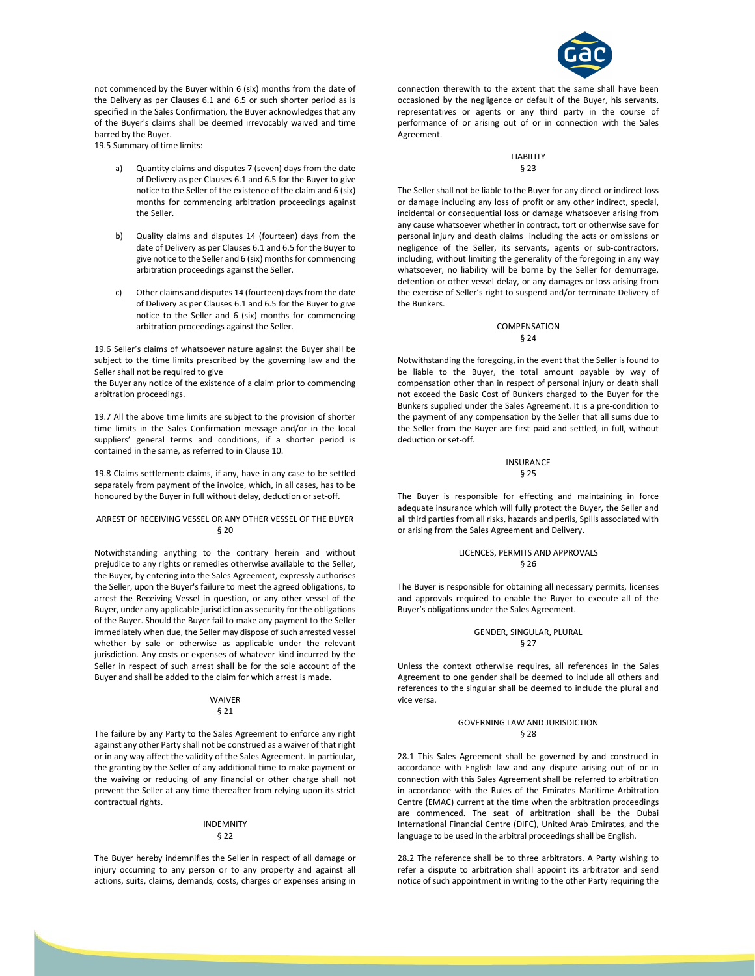

not commenced by the Buyer within 6 (six) months from the date of the Delivery as per Clauses 6.1 and 6.5 or such shorter period as is specified in the Sales Confirmation, the Buyer acknowledges that any of the Buyer's claims shall be deemed irrevocably waived and time barred by the Buyer.

19.5 Summary of time limits:

- Quantity claims and disputes 7 (seven) days from the date of Delivery as per Clauses 6.1 and 6.5 for the Buyer to give notice to the Seller of the existence of the claim and 6 (six) months for commencing arbitration proceedings against the Seller.
- b) Quality claims and disputes 14 (fourteen) days from the date of Delivery as per Clauses 6.1 and 6.5 for the Buyer to give notice to the Seller and 6 (six) months for commencing arbitration proceedings against the Seller.
- c) Other claims and disputes 14 (fourteen) days from the date of Delivery as per Clauses 6.1 and 6.5 for the Buyer to give notice to the Seller and 6 (six) months for commencing arbitration proceedings against the Seller.

19.6 Seller's claims of whatsoever nature against the Buyer shall be subject to the time limits prescribed by the governing law and the Seller shall not be required to give

the Buyer any notice of the existence of a claim prior to commencing arbitration proceedings.

19.7 All the above time limits are subject to the provision of shorter time limits in the Sales Confirmation message and/or in the local suppliers' general terms and conditions, if a shorter period is contained in the same, as referred to in Clause 10.

19.8 Claims settlement: claims, if any, have in any case to be settled separately from payment of the invoice, which, in all cases, has to be honoured by the Buyer in full without delay, deduction or set-off.

#### ARREST OF RECEIVING VESSEL OR ANY OTHER VESSEL OF THE BUYER § 20

Notwithstanding anything to the contrary herein and without prejudice to any rights or remedies otherwise available to the Seller, the Buyer, by entering into the Sales Agreement, expressly authorises the Seller, upon the Buyer's failure to meet the agreed obligations, to arrest the Receiving Vessel in question, or any other vessel of the Buyer, under any applicable jurisdiction as security for the obligations of the Buyer. Should the Buyer fail to make any payment to the Seller immediately when due, the Seller may dispose of such arrested vessel whether by sale or otherwise as applicable under the relevant jurisdiction. Any costs or expenses of whatever kind incurred by the Seller in respect of such arrest shall be for the sole account of the Buyer and shall be added to the claim for which arrest is made.

#### WAIVER § 21

The failure by any Party to the Sales Agreement to enforce any right against any other Party shall not be construed as a waiver of that right or in any way affect the validity of the Sales Agreement. In particular, the granting by the Seller of any additional time to make payment or the waiving or reducing of any financial or other charge shall not prevent the Seller at any time thereafter from relying upon its strict contractual rights.

#### INDEMNITY § 22

The Buyer hereby indemnifies the Seller in respect of all damage or injury occurring to any person or to any property and against all actions, suits, claims, demands, costs, charges or expenses arising in connection therewith to the extent that the same shall have been occasioned by the negligence or default of the Buyer, his servants, representatives or agents or any third party in the course of performance of or arising out of or in connection with the Sales Agreement.

#### LIABILITY § 23

The Seller shall not be liable to the Buyer for any direct or indirect loss or damage including any loss of profit or any other indirect, special, incidental or consequential loss or damage whatsoever arising from any cause whatsoever whether in contract, tort or otherwise save for personal injury and death claims including the acts or omissions or negligence of the Seller, its servants, agents or sub-contractors, including, without limiting the generality of the foregoing in any way whatsoever, no liability will be borne by the Seller for demurrage, detention or other vessel delay, or any damages or loss arising from the exercise of Seller's right to suspend and/or terminate Delivery of the Bunkers.

## COMPENSATION § 24

Notwithstanding the foregoing, in the event that the Seller is found to be liable to the Buyer, the total amount payable by way of compensation other than in respect of personal injury or death shall not exceed the Basic Cost of Bunkers charged to the Buyer for the Bunkers supplied under the Sales Agreement. It is a pre-condition to the payment of any compensation by the Seller that all sums due to the Seller from the Buyer are first paid and settled, in full, without deduction or set-off.

#### INSURANCE § 25

The Buyer is responsible for effecting and maintaining in force adequate insurance which will fully protect the Buyer, the Seller and all third parties from all risks, hazards and perils, Spills associated with or arising from the Sales Agreement and Delivery.

#### LICENCES, PERMITS AND APPROVALS § 26

The Buyer is responsible for obtaining all necessary permits, licenses and approvals required to enable the Buyer to execute all of the Buyer's obligations under the Sales Agreement.

## GENDER, SINGULAR, PLURAL § 27

Unless the context otherwise requires, all references in the Sales Agreement to one gender shall be deemed to include all others and references to the singular shall be deemed to include the plural and vice versa.

#### GOVERNING LAW AND JURISDICTION § 28

28.1 This Sales Agreement shall be governed by and construed in accordance with English law and any dispute arising out of or in connection with this Sales Agreement shall be referred to arbitration in accordance with the Rules of the Emirates Maritime Arbitration Centre (EMAC) current at the time when the arbitration proceedings are commenced. The seat of arbitration shall be the Dubai International Financial Centre (DIFC), United Arab Emirates, and the language to be used in the arbitral proceedings shall be English.

28.2 The reference shall be to three arbitrators. A Party wishing to refer a dispute to arbitration shall appoint its arbitrator and send notice of such appointment in writing to the other Party requiring the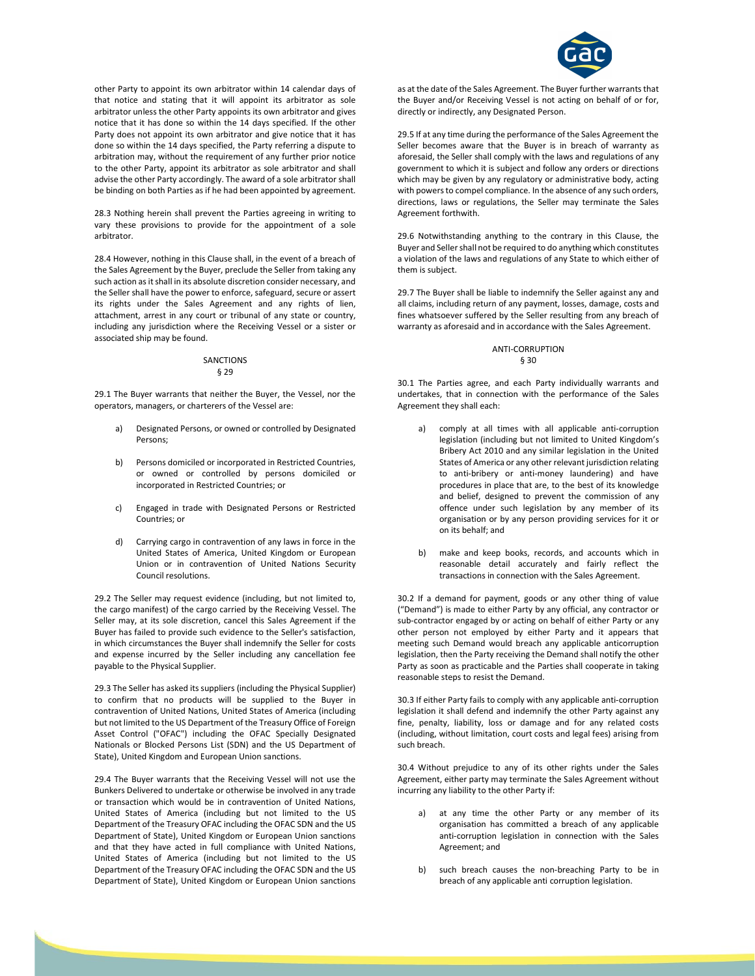

other Party to appoint its own arbitrator within 14 calendar days of that notice and stating that it will appoint its arbitrator as sole arbitrator unless the other Party appoints its own arbitrator and gives notice that it has done so within the 14 days specified. If the other Party does not appoint its own arbitrator and give notice that it has done so within the 14 days specified, the Party referring a dispute to arbitration may, without the requirement of any further prior notice to the other Party, appoint its arbitrator as sole arbitrator and shall advise the other Party accordingly. The award of a sole arbitrator shall be binding on both Parties as if he had been appointed by agreement.

28.3 Nothing herein shall prevent the Parties agreeing in writing to vary these provisions to provide for the appointment of a sole arbitrator.

28.4 However, nothing in this Clause shall, in the event of a breach of the Sales Agreement by the Buyer, preclude the Seller from taking any such action as it shall in its absolute discretion consider necessary, and the Seller shall have the power to enforce, safeguard, secure or assert its rights under the Sales Agreement and any rights of lien, attachment, arrest in any court or tribunal of any state or country, including any jurisdiction where the Receiving Vessel or a sister or associated ship may be found.

#### SANCTIONS § 29

29.1 The Buyer warrants that neither the Buyer, the Vessel, nor the operators, managers, or charterers of the Vessel are:

- Designated Persons, or owned or controlled by Designated Persons;
- b) Persons domiciled or incorporated in Restricted Countries, or owned or controlled by persons domiciled or incorporated in Restricted Countries; or
- c) Engaged in trade with Designated Persons or Restricted Countries; or
- d) Carrying cargo in contravention of any laws in force in the United States of America, United Kingdom or European Union or in contravention of United Nations Security Council resolutions.

29.2 The Seller may request evidence (including, but not limited to, the cargo manifest) of the cargo carried by the Receiving Vessel. The Seller may, at its sole discretion, cancel this Sales Agreement if the Buyer has failed to provide such evidence to the Seller's satisfaction, in which circumstances the Buyer shall indemnify the Seller for costs and expense incurred by the Seller including any cancellation fee payable to the Physical Supplier.

29.3 The Seller has asked its suppliers (including the Physical Supplier) to confirm that no products will be supplied to the Buyer in contravention of United Nations, United States of America (including but not limited to the US Department of the Treasury Office of Foreign Asset Control ("OFAC") including the OFAC Specially Designated Nationals or Blocked Persons List (SDN) and the US Department of State), United Kingdom and European Union sanctions.

29.4 The Buyer warrants that the Receiving Vessel will not use the Bunkers Delivered to undertake or otherwise be involved in any trade or transaction which would be in contravention of United Nations, United States of America (including but not limited to the US Department of the Treasury OFAC including the OFAC SDN and the US Department of State), United Kingdom or European Union sanctions and that they have acted in full compliance with United Nations, United States of America (including but not limited to the US Department of the Treasury OFAC including the OFAC SDN and the US Department of State), United Kingdom or European Union sanctions

as at the date of the Sales Agreement. The Buyer further warrants that the Buyer and/or Receiving Vessel is not acting on behalf of or for, directly or indirectly, any Designated Person.

29.5 If at any time during the performance of the Sales Agreement the Seller becomes aware that the Buyer is in breach of warranty as aforesaid, the Seller shall comply with the laws and regulations of any government to which it is subject and follow any orders or directions which may be given by any regulatory or administrative body, acting with powers to compel compliance. In the absence of any such orders, directions, laws or regulations, the Seller may terminate the Sales Agreement forthwith.

29.6 Notwithstanding anything to the contrary in this Clause, the Buyer and Seller shall not be required to do anything which constitutes a violation of the laws and regulations of any State to which either of them is subject.

29.7 The Buyer shall be liable to indemnify the Seller against any and all claims, including return of any payment, losses, damage, costs and fines whatsoever suffered by the Seller resulting from any breach of warranty as aforesaid and in accordance with the Sales Agreement.

## ANTI-CORRUPTION § 30

30.1 The Parties agree, and each Party individually warrants and undertakes, that in connection with the performance of the Sales Agreement they shall each:

- a) comply at all times with all applicable anti-corruption legislation (including but not limited to United Kingdom's Bribery Act 2010 and any similar legislation in the United States of America or any other relevant jurisdiction relating to anti-bribery or anti-money laundering) and have procedures in place that are, to the best of its knowledge and belief, designed to prevent the commission of any offence under such legislation by any member of its organisation or by any person providing services for it or on its behalf; and
- b) make and keep books, records, and accounts which in reasonable detail accurately and fairly reflect the transactions in connection with the Sales Agreement.

30.2 If a demand for payment, goods or any other thing of value ("Demand") is made to either Party by any official, any contractor or sub-contractor engaged by or acting on behalf of either Party or any other person not employed by either Party and it appears that meeting such Demand would breach any applicable anticorruption legislation, then the Party receiving the Demand shall notify the other Party as soon as practicable and the Parties shall cooperate in taking reasonable steps to resist the Demand.

30.3 If either Party fails to comply with any applicable anti-corruption legislation it shall defend and indemnify the other Party against any fine, penalty, liability, loss or damage and for any related costs (including, without limitation, court costs and legal fees) arising from such breach.

30.4 Without prejudice to any of its other rights under the Sales Agreement, either party may terminate the Sales Agreement without incurring any liability to the other Party if:

- a) at any time the other Party or any member of its organisation has committed a breach of any applicable anti-corruption legislation in connection with the Sales Agreement; and
- b) such breach causes the non-breaching Party to be in breach of any applicable anti corruption legislation.